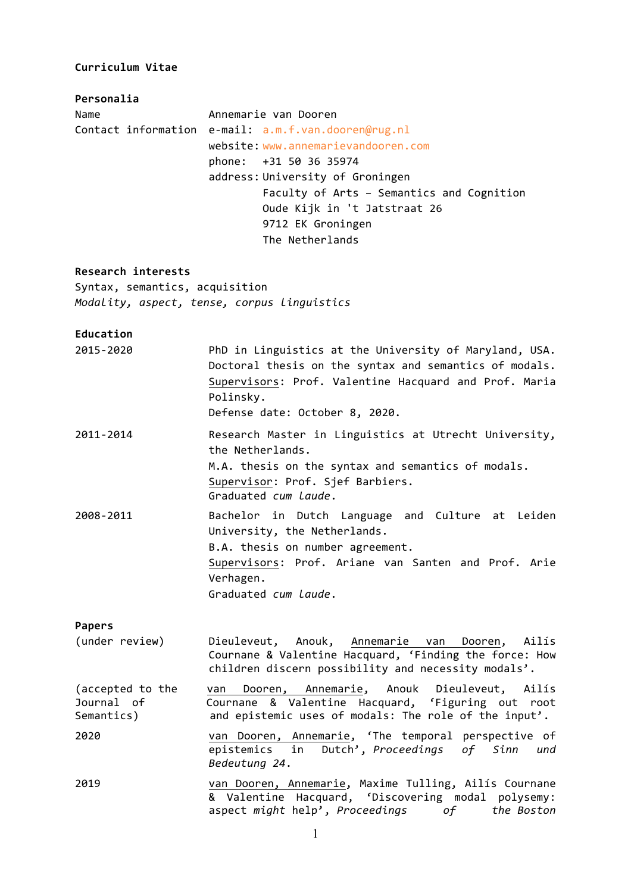#### **Curriculum Vitae**

**Personalia**

Name **Annemarie van Dooren** Contact information e-mail: a.m.f.van.dooren@rug.nl website: www.annemarievandooren.com phone: +31 50 36 35974 address: University of Groningen Faculty of Arts - Semantics and Cognition Oude Kijk in 't Jatstraat 26 9712 EK Groningen The Netherlands

#### **Research interests**

Syntax, semantics, acquisition *Modality, aspect, tense, corpus linguistics*

## **Education**

2015-2020 PhD in Linguistics at the University of Maryland, USA. Doctoral thesis on the syntax and semantics of modals. Supervisors: Prof. Valentine Hacquard and Prof. Maria Polinsky.

Defense date: October 8, 2020.

- 2011-2014 Research Master in Linguistics at Utrecht University, the Netherlands. M.A. thesis on the syntax and semantics of modals. Supervisor: Prof. Sief Barbiers. Graduated *cum laude*. 2008-2011 Bachelor in Dutch Language and Culture at Leiden
- University, the Netherlands. B.A. thesis on number agreement. Supervisors: Prof. Ariane van Santen and Prof. Arie Verhagen. Graduated *cum laude*.

#### **Papers**

- (under review) Dieuleveut, Anouk, Annemarie van Dooren, Ailís Cournane & Valentine Hacquard, 'Finding the force: How children discern possibility and necessity modals'.
- (accepted to the van Dooren, Annemarie, Anouk Dieuleveut, Ailís Journal of **Cournane & Valentine Hacquard, 'Figuring out root** Semantics) and epistemic uses of modals: The role of the input'.
- 2020 van Dooren, Annemarie, 'The temporal perspective of epistemics in Dutch', *Proceedings of Sinn und Bedeutung 24*.
- 2019 van Dooren, Annemarie, Maxime Tulling, Ailís Cournane & Valentine Hacquard, 'Discovering modal polysemy: aspect might help', Proceedings of the Boston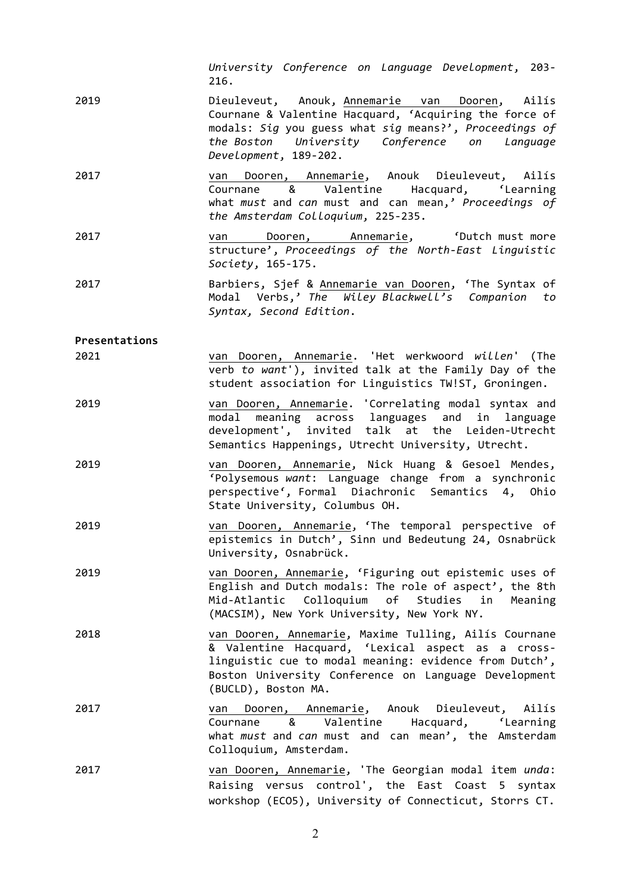|               | University Conference on Language Development, 203-<br>216.                                                                                                                                                                                         |  |  |  |  |  |  |  |  |
|---------------|-----------------------------------------------------------------------------------------------------------------------------------------------------------------------------------------------------------------------------------------------------|--|--|--|--|--|--|--|--|
| 2019          | Dieuleveut, Anouk, Annemarie van Dooren, Ailís<br>Cournane & Valentine Hacquard, 'Acquiring the force of<br>modals: Sig you guess what sig means?', Proceedings of<br>the Boston University Conference on Language<br>Development, 189-202.         |  |  |  |  |  |  |  |  |
| 2017          | van Dooren, Annemarie, Anouk Dieuleveut, Ailís<br>Cournane & Valentine Hacquard, 'Learning<br>what must and can must and can mean,' Proceedings of<br>the Amsterdam Colloquium, 225-235.                                                            |  |  |  |  |  |  |  |  |
| 2017          | Dooren, Annemarie, 'Dutch must more<br>van<br>structure', Proceedings of the North-East Linguistic<br>Society, 165-175.                                                                                                                             |  |  |  |  |  |  |  |  |
| 2017          | Barbiers, Sjef & Annemarie van Dooren, 'The Syntax of<br>Modal Verbs,' The Wiley Blackwell's Companion to<br>Syntax, Second Edition.                                                                                                                |  |  |  |  |  |  |  |  |
| Presentations |                                                                                                                                                                                                                                                     |  |  |  |  |  |  |  |  |
| 2021          | van Dooren, Annemarie. 'Het werkwoord willen' (The<br>verb to want'), invited talk at the Family Day of the<br>student association for Linguistics TW!ST, Groningen.                                                                                |  |  |  |  |  |  |  |  |
| 2019          | van Dooren, Annemarie. 'Correlating modal syntax and<br>modal meaning across languages and in language<br>development', invited talk at the Leiden-Utrecht<br>Semantics Happenings, Utrecht University, Utrecht.                                    |  |  |  |  |  |  |  |  |
| 2019          | van Dooren, Annemarie, Nick Huang & Gesoel Mendes,<br>'Polysemous want: Language change from a synchronic<br>perspective', Formal Diachronic Semantics 4, Ohio<br>State University, Columbus OH.                                                    |  |  |  |  |  |  |  |  |
| 2019          | van Dooren, Annemarie, 'The temporal perspective of<br>epistemics in Dutch', Sinn und Bedeutung 24, Osnabrück<br>University, Osnabrück.                                                                                                             |  |  |  |  |  |  |  |  |
| 2019          | van Dooren, Annemarie, 'Figuring out epistemic uses of<br>English and Dutch modals: The role of aspect', the 8th<br>Mid-Atlantic Colloquium of Studies in<br>Meaning<br>(MACSIM), New York University, New York NY.                                 |  |  |  |  |  |  |  |  |
| 2018          | van Dooren, Annemarie, Maxime Tulling, Ailís Cournane<br>& Valentine Hacquard, 'Lexical aspect as a cross-<br>linguistic cue to modal meaning: evidence from Dutch',<br>Boston University Conference on Language Development<br>(BUCLD), Boston MA. |  |  |  |  |  |  |  |  |
| 2017          | Dooren, Annemarie, Anouk Dieuleveut, Ailís<br>van<br>Cournane & Valentine Hacquard, 'Learning<br>what must and can must and can mean', the Amsterdam<br>Colloquium, Amsterdam.                                                                      |  |  |  |  |  |  |  |  |
| 2017          | van Dooren, Annemarie, 'The Georgian modal item unda:<br>Raising versus control', the East Coast 5 syntax<br>workshop (ECO5), University of Connecticut, Storrs CT.                                                                                 |  |  |  |  |  |  |  |  |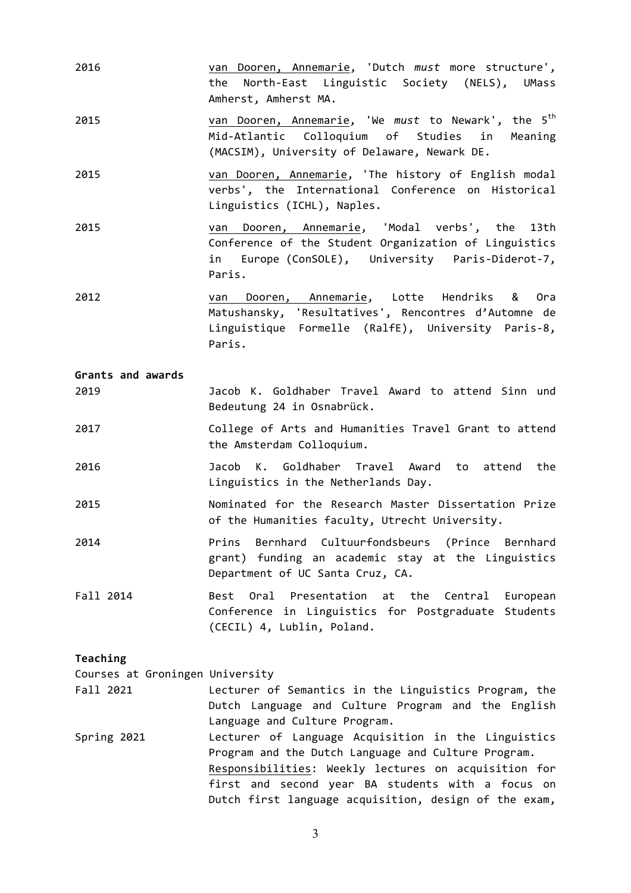| 2016                            | van Dooren, Annemarie, 'Dutch must more structure',<br>the North-East Linguistic Society (NELS), UMass<br>Amherst, Amherst MA.                                                                                                                                                   |  |  |  |  |  |  |  |
|---------------------------------|----------------------------------------------------------------------------------------------------------------------------------------------------------------------------------------------------------------------------------------------------------------------------------|--|--|--|--|--|--|--|
| 2015                            | van Dooren, Annemarie, 'We must to Newark', the 5 <sup>th</sup><br>Mid-Atlantic Colloquium of Studies in<br>Meaning<br>(MACSIM), University of Delaware, Newark DE.                                                                                                              |  |  |  |  |  |  |  |
| 2015                            | van Dooren, Annemarie, 'The history of English modal<br>verbs', the International Conference on Historical<br>Linguistics (ICHL), Naples.                                                                                                                                        |  |  |  |  |  |  |  |
| 2015                            | van Dooren, Annemarie, 'Modal verbs', the<br>13th<br>Conference of the Student Organization of Linguistics<br>in Europe (ConSOLE), University Paris-Diderot-7,<br>Paris.                                                                                                         |  |  |  |  |  |  |  |
| 2012                            | van Dooren, Annemarie, Lotte Hendriks<br>& Ora<br>Matushansky, 'Resultatives', Rencontres d'Automne de<br>Linguistique Formelle (RalfE), University Paris-8,<br>Paris.                                                                                                           |  |  |  |  |  |  |  |
| Grants and awards               |                                                                                                                                                                                                                                                                                  |  |  |  |  |  |  |  |
| 2019                            | Jacob K. Goldhaber Travel Award to attend Sinn und<br>Bedeutung 24 in Osnabrück.                                                                                                                                                                                                 |  |  |  |  |  |  |  |
| 2017                            | College of Arts and Humanities Travel Grant to attend<br>the Amsterdam Colloquium.                                                                                                                                                                                               |  |  |  |  |  |  |  |
| 2016                            | Jacob K. Goldhaber Travel Award to attend<br>the<br>Linguistics in the Netherlands Day.                                                                                                                                                                                          |  |  |  |  |  |  |  |
| 2015                            | Nominated for the Research Master Dissertation Prize<br>of the Humanities faculty, Utrecht University.                                                                                                                                                                           |  |  |  |  |  |  |  |
| 2014                            | Bernhard Cultuurfondsbeurs (Prince Bernhard<br>Prins<br>grant) funding an academic stay at the Linguistics<br>Department of UC Santa Cruz, CA.                                                                                                                                   |  |  |  |  |  |  |  |
| Fall 2014                       | Presentation at the Central<br>Best<br>Oral<br>European<br>Conference in Linguistics for Postgraduate Students<br>(CECIL) 4, Lublin, Poland.                                                                                                                                     |  |  |  |  |  |  |  |
| Teaching                        |                                                                                                                                                                                                                                                                                  |  |  |  |  |  |  |  |
| Courses at Groningen University |                                                                                                                                                                                                                                                                                  |  |  |  |  |  |  |  |
| Fall 2021                       | Lecturer of Semantics in the Linguistics Program, the<br>Dutch Language and Culture Program and the English<br>Language and Culture Program.                                                                                                                                     |  |  |  |  |  |  |  |
| Spring 2021                     | Lecturer of Language Acquisition in the Linguistics<br>Program and the Dutch Language and Culture Program.<br>Responsibilities: Weekly lectures on acquisition for<br>first and second year BA students with a focus on<br>Dutch first language acquisition, design of the exam, |  |  |  |  |  |  |  |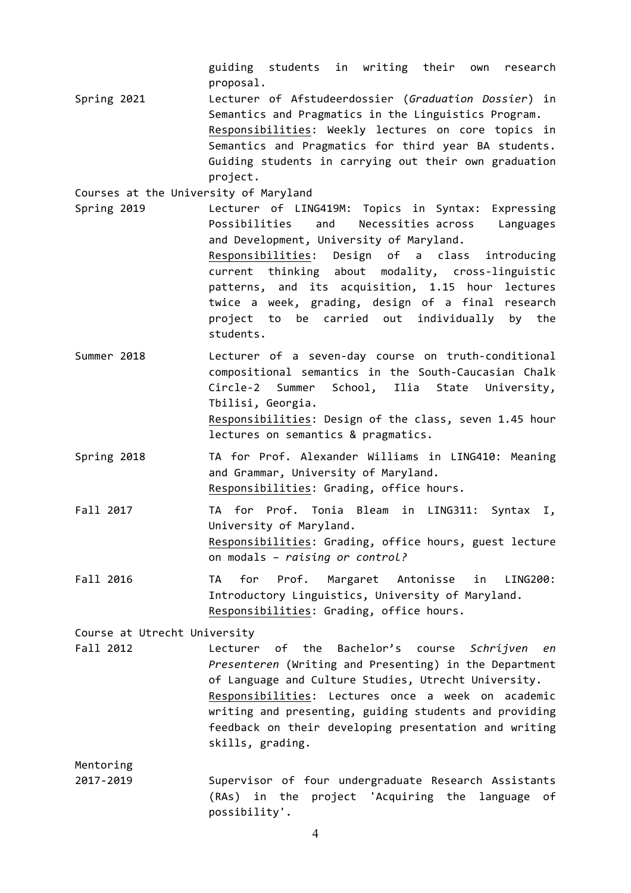guiding students in writing their own research proposal. 

Spring 2021 **Lecturer** of Afstudeerdossier (*Graduation Dossier*) in Semantics and Pragmatics in the Linguistics Program. Responsibilities: Weekly lectures on core topics in Semantics and Pragmatics for third year BA students. Guiding students in carrying out their own graduation project. 

Courses at the University of Maryland

- Spring 2019 Lecturer of LING419M: Topics in Syntax: Expressing Possibilities and Necessities across Languages and Development, University of Maryland. Responsibilities: Design of a class introducing current thinking about modality, cross-linguistic patterns, and its acquisition, 1.15 hour lectures twice a week, grading, design of a final research project to be carried out individually by the students.
- Summer 2018 Lecturer of a seven-day course on truth-conditional compositional semantics in the South-Caucasian Chalk Circle-2 Summer School, Ilia State University, Tbilisi, Georgia.

Responsibilities: Design of the class, seven 1.45 hour lectures on semantics & pragmatics.

- Spring 2018 TA for Prof. Alexander Williams in LING410: Meaning and Grammar, University of Maryland. Responsibilities: Grading, office hours.
- Fall 2017 TA for Prof. Tonia Bleam in LING311: Syntax I, University of Maryland. Responsibilities: Grading, office hours, guest lecture on modals – *raising or control?*
- Fall 2016 TA for Prof. Margaret Antonisse in LING200: Introductory Linguistics, University of Maryland. Responsibilities: Grading, office hours.

Course at Utrecht University

Fall 2012 **Lecturer** of the Bachelor's course *Schrijven en Presenteren* (Writing and Presenting) in the Department of Language and Culture Studies, Utrecht University. Responsibilities: Lectures once a week on academic writing and presenting, guiding students and providing feedback on their developing presentation and writing skills, grading.

Mentoring

2017-2019 Supervisor of four undergraduate Research Assistants (RAs) in the project 'Acquiring the language of possibility'.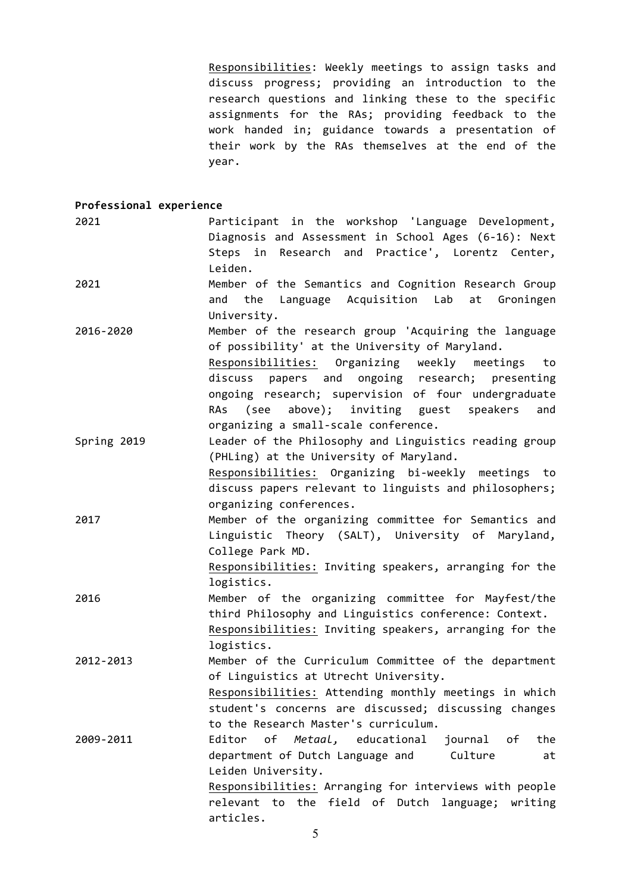Responsibilities: Weekly meetings to assign tasks and discuss progress; providing an introduction to the research questions and linking these to the specific assignments for the RAs; providing feedback to the work handed in; guidance towards a presentation of their work by the RAs themselves at the end of the year.

## **Professional experience**

| 2021        | Participant in the workshop 'Language Development,<br>Diagnosis and Assessment in School Ages (6-16): Next<br>Steps in Research and Practice', Lorentz Center,                                                                                                                                                                                                       |
|-------------|----------------------------------------------------------------------------------------------------------------------------------------------------------------------------------------------------------------------------------------------------------------------------------------------------------------------------------------------------------------------|
| 2021        | Leiden.<br>Member of the Semantics and Cognition Research Group<br>the Language Acquisition Lab at<br>Groningen<br>and<br>University.                                                                                                                                                                                                                                |
| 2016-2020   | Member of the research group 'Acquiring the language<br>of possibility' at the University of Maryland.<br>Responsibilities: Organizing weekly meetings to<br>papers and ongoing research; presenting<br>discuss<br>ongoing research; supervision of four undergraduate<br>(see above); inviting guest speakers<br>RAs<br>and<br>organizing a small-scale conference. |
| Spring 2019 | Leader of the Philosophy and Linguistics reading group<br>(PHLing) at the University of Maryland.<br>Responsibilities: Organizing bi-weekly meetings to<br>discuss papers relevant to linguists and philosophers;<br>organizing conferences.                                                                                                                         |
| 2017        | Member of the organizing committee for Semantics and<br>Linguistic Theory (SALT), University of Maryland,<br>College Park MD.<br>Responsibilities: Inviting speakers, arranging for the<br>logistics.                                                                                                                                                                |
| 2016        | Member of the organizing committee for Mayfest/the<br>third Philosophy and Linguistics conference: Context.<br>Responsibilities: Inviting speakers, arranging for the<br>logistics.                                                                                                                                                                                  |
| 2012-2013   | Member of the Curriculum Committee of the department<br>of Linguistics at Utrecht University.<br>Responsibilities: Attending monthly meetings in which<br>student's concerns are discussed; discussing changes<br>to the Research Master's curriculum.                                                                                                               |
| 2009-2011   | of Metaal, educational<br>journal<br>the<br>Editor<br>оf<br>department of Dutch Language and<br>Culture<br>at<br>Leiden University.<br>Responsibilities: Arranging for interviews with people<br>relevant to the field of Dutch language; writing<br>articles.                                                                                                       |

5